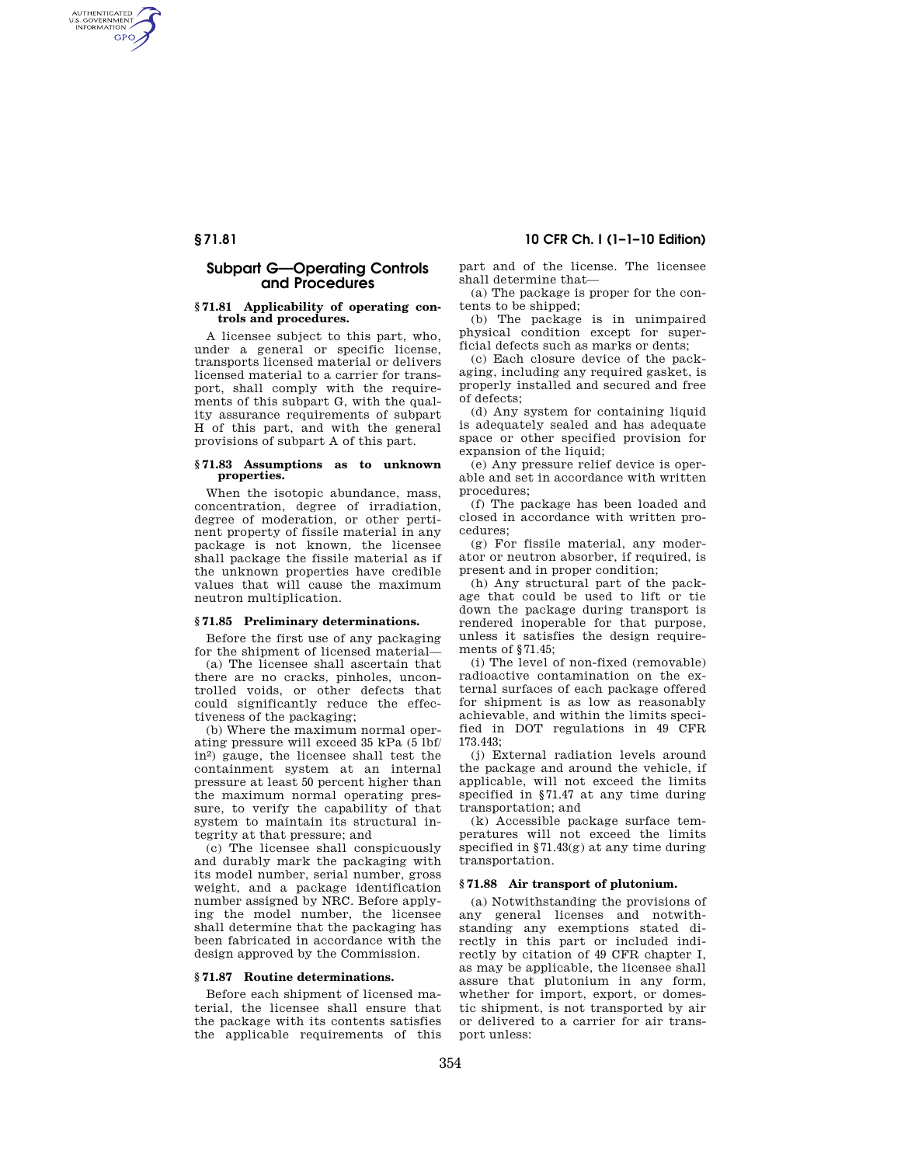# **§ 71.81 10 CFR Ch. I (1–1–10 Edition)**

AUTHENTICATED<br>U.S. GOVERNMENT<br>INFORMATION **GPO** 

# **Subpart G—Operating Controls and Procedures**

#### **§ 71.81 Applicability of operating controls and procedures.**

A licensee subject to this part, who, under a general or specific license, transports licensed material or delivers licensed material to a carrier for transport, shall comply with the requirements of this subpart G, with the quality assurance requirements of subpart H of this part, and with the general provisions of subpart A of this part.

#### **§ 71.83 Assumptions as to unknown properties.**

When the isotopic abundance, mass, concentration, degree of irradiation, degree of moderation, or other pertinent property of fissile material in any package is not known, the licensee shall package the fissile material as if the unknown properties have credible values that will cause the maximum neutron multiplication.

## **§ 71.85 Preliminary determinations.**

Before the first use of any packaging for the shipment of licensed material—

(a) The licensee shall ascertain that there are no cracks, pinholes, uncontrolled voids, or other defects that could significantly reduce the effectiveness of the packaging;

(b) Where the maximum normal operating pressure will exceed 35 kPa (5 lbf/ in2) gauge, the licensee shall test the containment system at an internal pressure at least 50 percent higher than the maximum normal operating pressure, to verify the capability of that system to maintain its structural integrity at that pressure; and

(c) The licensee shall conspicuously and durably mark the packaging with its model number, serial number, gross weight, and a package identification number assigned by NRC. Before applying the model number, the licensee shall determine that the packaging has been fabricated in accordance with the design approved by the Commission.

# **§ 71.87 Routine determinations.**

Before each shipment of licensed material, the licensee shall ensure that the package with its contents satisfies the applicable requirements of this

part and of the license. The licensee shall determine that—

(a) The package is proper for the contents to be shipped;

(b) The package is in unimpaired physical condition except for superficial defects such as marks or dents;

(c) Each closure device of the packaging, including any required gasket, is properly installed and secured and free of defects;

(d) Any system for containing liquid is adequately sealed and has adequate space or other specified provision for expansion of the liquid:

(e) Any pressure relief device is operable and set in accordance with written procedures;

(f) The package has been loaded and closed in accordance with written procedures;

(g) For fissile material, any moderator or neutron absorber, if required, is present and in proper condition;

(h) Any structural part of the package that could be used to lift or tie down the package during transport is rendered inoperable for that purpose, unless it satisfies the design requirements of §71.45;

(i) The level of non-fixed (removable) radioactive contamination on the external surfaces of each package offered for shipment is as low as reasonably achievable, and within the limits specified in DOT regulations in 49 CFR 173.443;

(j) External radiation levels around the package and around the vehicle, if applicable, will not exceed the limits specified in §71.47 at any time during transportation; and

(k) Accessible package surface temperatures will not exceed the limits specified in §71.43(g) at any time during transportation.

### **§ 71.88 Air transport of plutonium.**

(a) Notwithstanding the provisions of any general licenses and notwithstanding any exemptions stated directly in this part or included indirectly by citation of 49 CFR chapter I, as may be applicable, the licensee shall assure that plutonium in any form, whether for import, export, or domestic shipment, is not transported by air or delivered to a carrier for air transport unless: